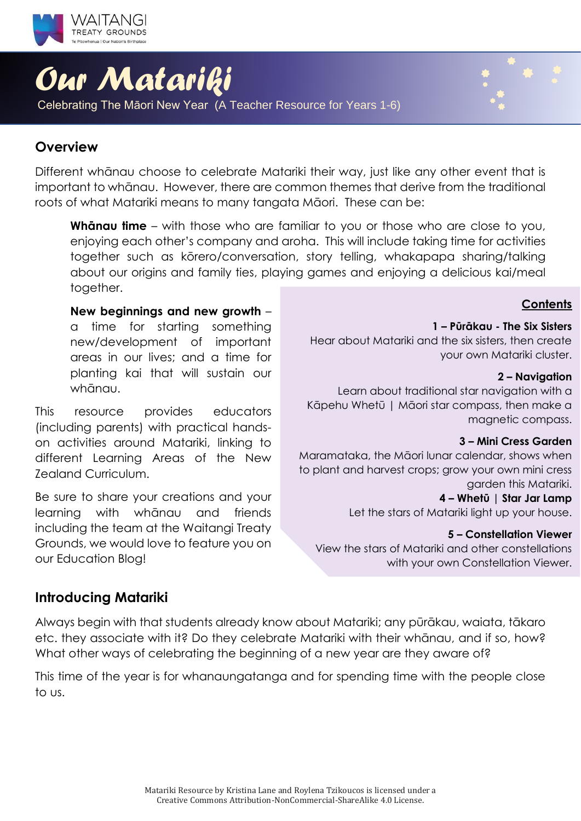

# *Our Matariki*

Celebrating The Māori New Year (A Teacher Resource for Years 1-6)

### **Overview**

Different whānau choose to celebrate Matariki their way, just like any other event that is important to whānau. However, there are common themes that derive from the traditional roots of what Matariki means to many tangata Māori. These can be:

**Whānau time** – with those who are familiar to you or those who are close to you, enjoying each other's company and aroha. This will include taking time for activities together such as kōrero/conversation, story telling, whakapapa sharing/talking about our origins and family ties, playing games and enjoying a delicious kai/meal together.

### **New beginnings and new growth** –

a time for starting something new/development of important areas in our lives; and a time for planting kai that will sustain our whānau.

This resource provides educators (including parents) with practical handson activities around Matariki, linking to different Learning Areas of the New Zealand Curriculum.

Be sure to share your creations and your learning with whānau and friends including the team at the Waitangi Treaty Grounds, we would love to feature you on our Education Blog!

### **Contents**

### **1 – Pūrākau - The Six Sisters**

Hear about Matariki and the six sisters, then create your own Matariki cluster.

### **2 – Navigation**

Learn about traditional star navigation with a Kāpehu Whetū | Māori star compass, then make a magnetic compass.

### **3 – Mini Cress Garden**

Maramataka, the Māori lunar calendar, shows when to plant and harvest crops; grow your own mini cress garden this Matariki.

### **4 – Whetū | Star Jar Lamp**

Let the stars of Matariki light up your house.

### **5 – Constellation Viewer**

View the stars of Matariki and other constellations with your own Constellation Viewer.

### **Introducing Matariki**

Always begin with that students already know about Matariki; any pūrākau, waiata, tākaro etc. they associate with it? Do they celebrate Matariki with their whānau, and if so, how? What other ways of celebrating the beginning of a new year are they aware of?

This time of the year is for whanaungatanga and for spending time with the people close to us.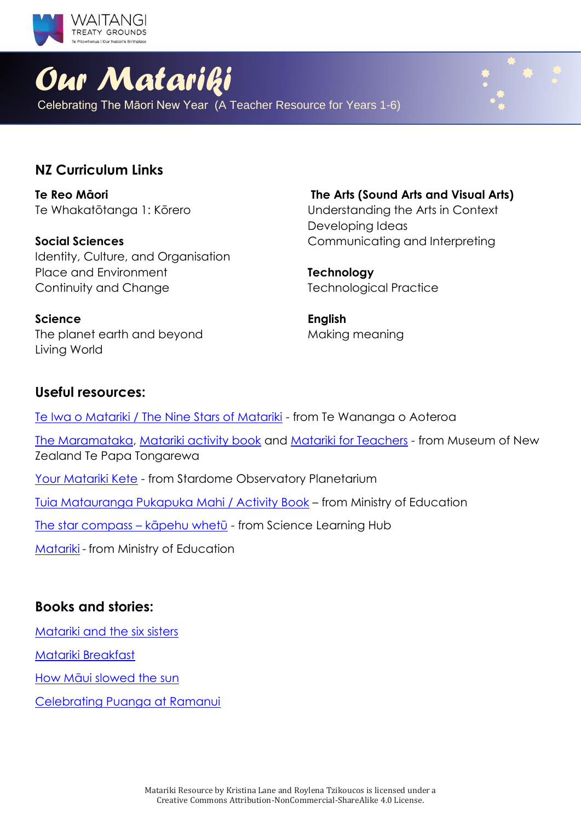

# *Our Matariki*

Celebrating The Māori New Year (A Teacher Resource for Years 1-6)

### **NZ Curriculum Links**

**Te Reo Māori** Te Whakatōtanga 1: Kōrero

**Social Sciences** Identity, Culture, and Organisation Place and Environment Continuity and Change

**The Arts (Sound Arts and Visual Arts)** Understanding the Arts in Context Developing Ideas Communicating and Interpreting

**Technology** Technological Practice

**English** Making meaning

### The planet earth and beyond Living World

### **Useful resources:**

**Science**

Te Iwa o Matariki / [The Nine Stars of Matariki](https://www.twoa.ac.nz/hononga-stay-connected/te-iwa-o-matariki/matariki-colouring-book) - from Te Wananga o Aoteroa [The Maramataka,](https://www.tepapa.govt.nz/discover-collections/read-watch-play/maori/matariki-maori-new-year/maramataka) [Matariki activity book](https://www.tepapa.govt.nz/learn/for-educators/free-downloadable-activity-books/matariki-activity-book) and [Matariki for Teachers](https://www.tepapa.govt.nz/learn/matariki-maori-new-year/matariki-for-teachers) - from Museum of New Zealand Te Papa Tongarewa [Your Matariki Kete](https://www.stardome.org.nz/wp-content/uploads/2019/05/MED-RES_Stardome_Education_Matariki-Booklet-2019_PRIMARY-1.pdf) - from Stardome Observatory Planetarium [Tuia Matauranga Pukapuka Mahi / Activity Book](https://www.tuiaeducation.org.nz/s/Tuia-Activity-Book-English.pdf) – from Ministry of Education [The star compass](https://www.sciencelearn.org.nz/resources/622-the-star-compass-kapehu-whetu) – kāpehu whetū - from Science Learning Hub

[Matariki](https://nzcurriculum.tki.org.nz/Curriculum-resources/National-events-and-the-NZC/Matariki) - from Ministry of Education

### **Books and stories:**

[Matariki and the six sisters](https://www.tepapa.govt.nz/discover-collections/read-watch-play/maori/matariki-maori-new-year/whare-tapere/six-sisters)

[Matariki Breakfast](https://instructionalseries.tki.org.nz/Instructional-Series/Ready-to-Read/Matariki-Breakfast)

[How Māui slowed the sun](http://eng.mataurangamaori.tki.org.nz/Support-materials/Te-Reo-Maori/Maori-Myths-Legends-and-Contemporary-Stories/How-Maui-slowed-the-sun)

[Celebrating Puanga at Ramanui](https://instructionalseries.tki.org.nz/Instructional-Series/School-Journal/School-Journal-Level-2-November-2017/Celebrating-Puanga-at-Ramanui)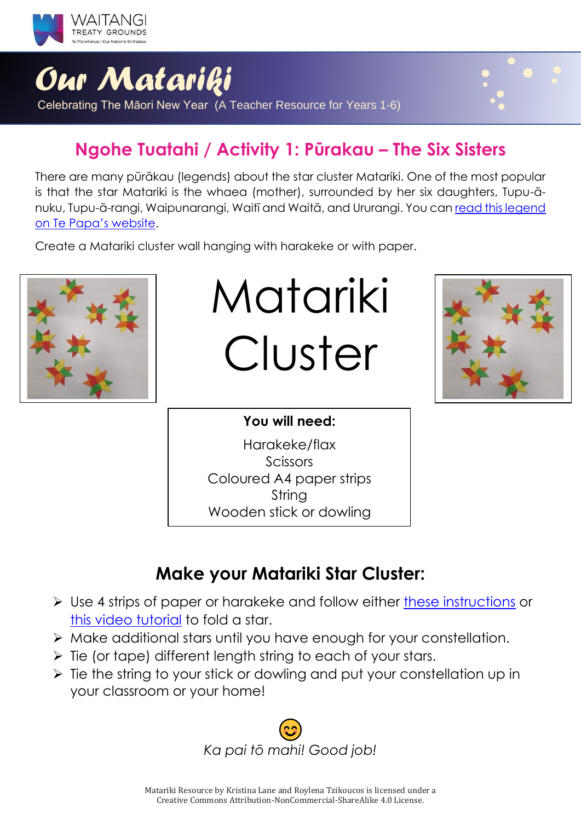

## **Ngohe Tuatahi / Activity 1: Pūrakau – The Six Sisters**

There are many pūrākau (legends) about the star cluster Matariki. One of the most popular is that the star Matariki is the whaea (mother), surrounded by her six daughters, Tupu-ānuku, Tupu-ā-rangi, Waipunarangi, Waitī and Waitā, and Ururangi. You can [read this legend](https://www.tepapa.govt.nz/discover-collections/read-watch-play/maori/matariki-maori-new-year/whare-tapere/six-sisters)  [on Te Papa's website](https://www.tepapa.govt.nz/discover-collections/read-watch-play/maori/matariki-maori-new-year/whare-tapere/six-sisters).

Create a Matariki cluster wall hanging with harakeke or with paper.



Matariki Cluster



### **You will need:**

Harakeke/flax Scissors Coloured A4 paper strips String Wooden stick or dowling

### **Make your Matariki Star Cluster:**

- ➢ Use 4 strips of paper or harakeke and follow either [these instructions](https://thecraftables.tumblr.com/post/129270092040/thecraftables-diy-how-to-make-woven-stars?fbclid=IwAR0DV9vyfwQRnfqtGQeMXTPmzW768fd37DfUtjTx-s31N7xvJ7SfN5RmTOE) or [this video tutorial](https://youtu.be/qSjyDqztzaQ?t=19) to fold a star.
- ➢ Make additional stars until you have enough for your constellation.
- $\triangleright$  Tie (or tape) different length string to each of your stars.
- ➢ Tie the string to your stick or dowling and put your constellation up in your classroom or your home!

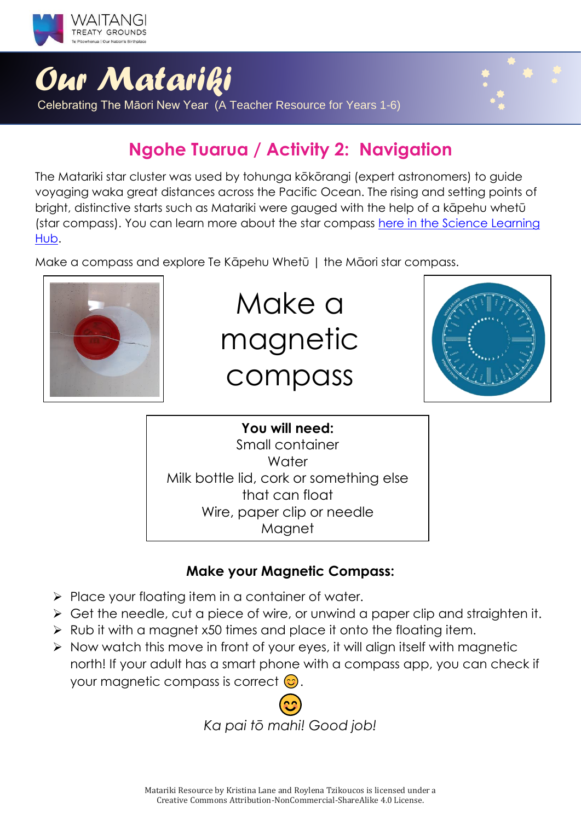

## **Ngohe Tuarua / Activity 2: Navigation**

The Matariki star cluster was used by tohunga kōkōrangi (expert astronomers) to guide voyaging waka great distances across the Pacific Ocean. The rising and setting points of bright, distinctive starts such as Matariki were gauged with the help of a kāpehu whetū (star compass). You can learn more about the star compass [here in the Science Learning](https://www.sciencelearn.org.nz/resources/622-the-star-compass-kapehu-whetu)  [Hub.](https://www.sciencelearn.org.nz/resources/622-the-star-compass-kapehu-whetu)

Make a compass and explore Te Kāpehu Whetū | the Māori star compass.



## Make a magnetic compass



### **You will need:** Small container **Water** Milk bottle lid, cork or something else that can float Wire, paper clip or needle Magnet

### **Make your Magnetic Compass:**

- ➢ Place your floating item in a container of water.
- ➢ Get the needle, cut a piece of wire, or unwind a paper clip and straighten it.
- ➢ Rub it with a magnet x50 times and place it onto the floating item.
- ➢ Now watch this move in front of your eyes, it will align itself with magnetic north! If your adult has a smart phone with a compass app, you can check if your magnetic compass is correct  $\odot$ .

*Ka pai tō mahi! Good job!*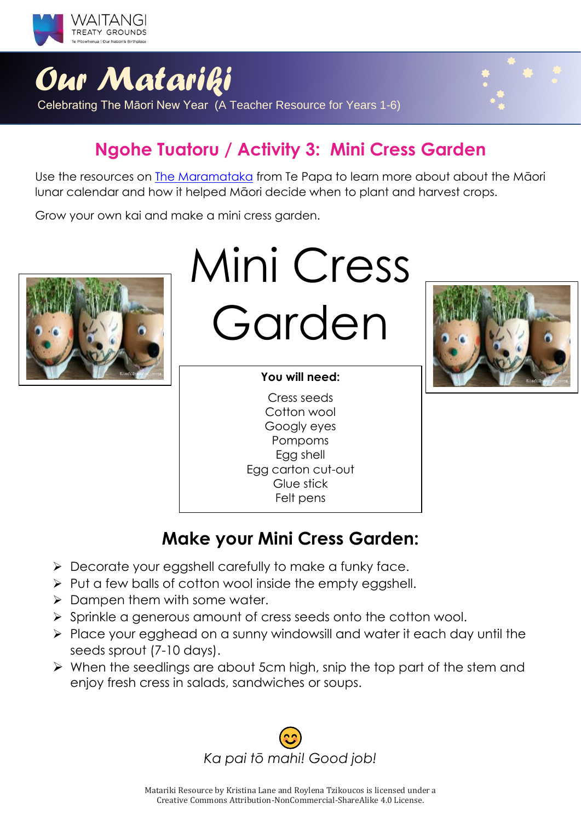

## **Ngohe Tuatoru / Activity 3: Mini Cress Garden**

Use the resources on [The Maramataka](https://www.tepapa.govt.nz/discover-collections/read-watch-play/maori/matariki-maori-new-year/maramataka) from Te Papa to learn more about about the Māori lunar calendar and how it helped Māori decide when to plant and harvest crops.

Grow your own kai and make a mini cress garden.



Mini Cress Garden

### **You will need:**

Cress seeds Cotton wool Googly eyes Pompoms Egg shell Egg carton cut-out Glue stick Felt pens



## **Make your Mini Cress Garden:**

- ➢ Decorate your eggshell carefully to make a funky face.
- ➢ Put a few balls of cotton wool inside the empty eggshell.
- ➢ Dampen them with some water.
- ➢ Sprinkle a generous amount of cress seeds onto the cotton wool.
- ➢ Place your egghead on a sunny windowsill and water it each day until the seeds sprout (7-10 days).
- ➢ When the seedlings are about 5cm high, snip the top part of the stem and enjoy fresh cress in salads, sandwiches or soups.

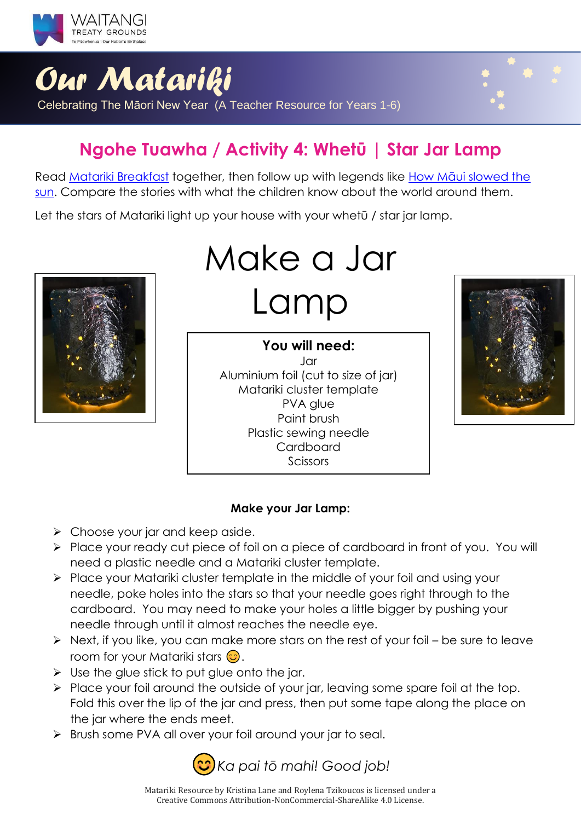

## **Ngohe Tuawha / Activity 4: Whetū | Star Jar Lamp**

Read [Matariki Breakfast](https://instructionalseries.tki.org.nz/Instructional-Series/Ready-to-Read/Matariki-Breakfast) together, then follow up with legends like [How Māui slowed the](http://eng.mataurangamaori.tki.org.nz/Support-materials/Te-Reo-Maori/Maori-Myths-Legends-and-Contemporary-Stories/How-Maui-slowed-the-sun)  [sun.](http://eng.mataurangamaori.tki.org.nz/Support-materials/Te-Reo-Maori/Maori-Myths-Legends-and-Contemporary-Stories/How-Maui-slowed-the-sun) Compare the stories with what the children know about the world around them.

Let the stars of Matariki light up your house with your whetū / star jar lamp.



# Make a Jar Lamp

**You will need:**  $I$ ar Aluminium foil (cut to size of jar) Matariki cluster template PVA alue Paint brush Plastic sewing needle Cardboard Scissors



### **Make your Jar Lamp:**

- ➢ Choose your jar and keep aside.
- ➢ Place your ready cut piece of foil on a piece of cardboard in front of you. You will need a plastic needle and a Matariki cluster template.
- ➢ Place your Matariki cluster template in the middle of your foil and using your needle, poke holes into the stars so that your needle goes right through to the cardboard. You may need to make your holes a little bigger by pushing your needle through until it almost reaches the needle eye.
- ➢ Next, if you like, you can make more stars on the rest of your foil be sure to leave room for your Matariki stars  $\odot$ .
- $\triangleright$  Use the glue stick to put glue onto the jar.
- ➢ Place your foil around the outside of your jar, leaving some spare foil at the top. Fold this over the lip of the jar and press, then put some tape along the place on the jar where the ends meet.
- ➢ Brush some PVA all over your foil around your jar to seal.

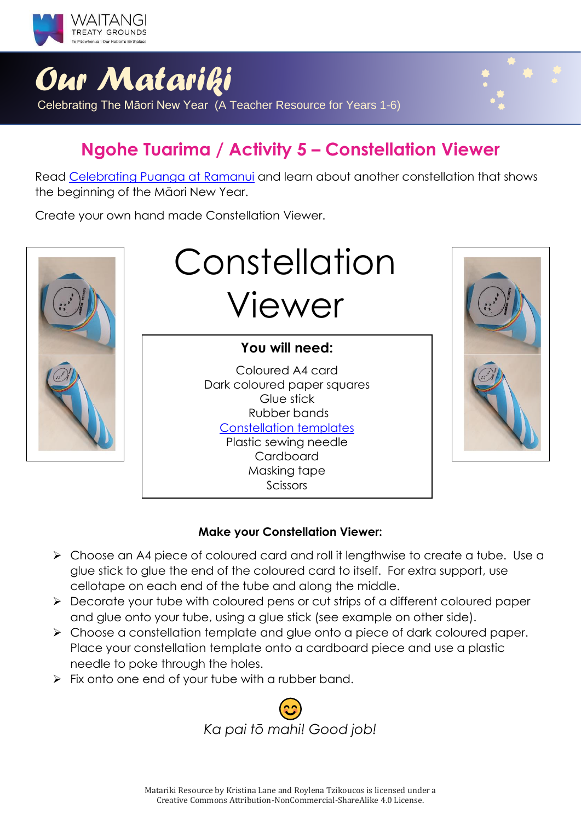

## **Ngohe Tuarima / Activity 5 – Constellation Viewer**

Read [Celebrating Puanga at Ramanui](https://instructionalseries.tki.org.nz/Instructional-Series/School-Journal/School-Journal-Level-2-November-2017/Celebrating-Puanga-at-Ramanui) and learn about another constellation that shows the beginning of the Māori New Year.

Create your own hand made Constellation Viewer.



# Constellation Viewer

### **You will need:**

Coloured A4 card Dark coloured paper squares Glue stick Rubber bands [Constellation templates](https://inventorsoftomorrow.com/2017/02/27/make-a-constellation-viewer/?fbclid=IwAR1G4RI-kglX5Iyu5eWjuXxGzUC2ejivAi8zCvjsovbcXA5E59_KnlW_qGw) Plastic sewing needle Cardboard Masking tape Scissors



### **Make your Constellation Viewer:**

- ➢ Choose an A4 piece of coloured card and roll it lengthwise to create a tube. Use a glue stick to glue the end of the coloured card to itself. For extra support, use cellotape on each end of the tube and along the middle.
- ➢ Decorate your tube with coloured pens or cut strips of a different coloured paper and glue onto your tube, using a glue stick (see example on other side).
- ➢ Choose a constellation template and glue onto a piece of dark coloured paper. Place your constellation template onto a cardboard piece and use a plastic needle to poke through the holes.
- $\triangleright$  Fix onto one end of your tube with a rubber band.